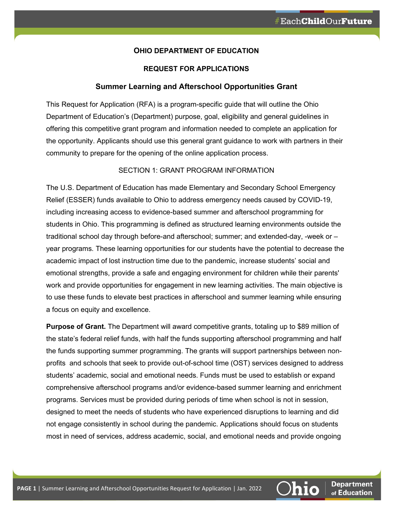### **OHIO DEPARTMENT OF EDUCATION**

## **REQUEST FOR APPLICATIONS**

#### **Summer Learning and Afterschool Opportunities Grant**

This Request for Application (RFA) is a program-specific guide that will outline the Ohio Department of Education's (Department) purpose, goal, eligibility and general guidelines in offering this competitive grant program and information needed to complete an application for the opportunity. Applicants should use this general grant guidance to work with partners in their community to prepare for the opening of the online application process.

## SECTION 1: GRANT PROGRAM INFORMATION

The U.S. Department of Education has made Elementary and Secondary School Emergency Relief (ESSER) funds available to Ohio to address emergency needs caused by COVID-19, including increasing access to evidence-based summer and afterschool programming for students in Ohio. This programming is defined as structured learning environments outside the traditional school day through before-and afterschool; summer; and extended-day, -week or – year programs. These learning opportunities for our students have the potential to decrease the academic impact of lost instruction time due to the pandemic, increase students' social and emotional strengths, provide a safe and engaging environment for children while their parents' work and provide opportunities for engagement in new learning activities. The main objective is to use these funds to elevate best practices in afterschool and summer learning while ensuring a focus on equity and excellence.

**Purpose of Grant.** The Department will award competitive grants, totaling up to \$89 million of the state's federal relief funds, with half the funds supporting afterschool programming and half the funds supporting summer programming. The grants will support partnerships between nonprofits and schools that seek to provide out-of-school time (OST) services designed to address students' academic, social and emotional needs. Funds must be used to establish or expand comprehensive afterschool programs and/or evidence-based summer learning and enrichment programs. Services must be provided during periods of time when school is not in session, designed to meet the needs of students who have experienced disruptions to learning and did not engage consistently in school during the pandemic. Applications should focus on students most in need of services, address academic, social, and emotional needs and provide ongoing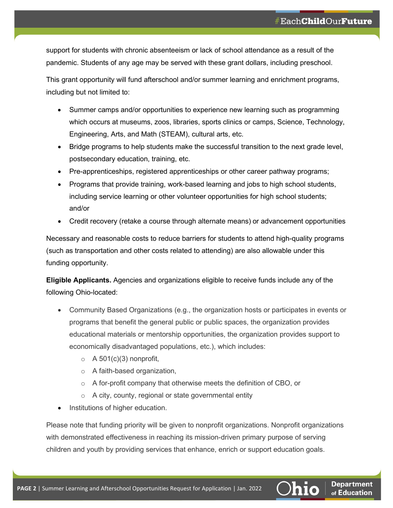support for students with chronic absenteeism or lack of school attendance as a result of the pandemic. Students of any age may be served with these grant dollars, including preschool.

This grant opportunity will fund afterschool and/or summer learning and enrichment programs, including but not limited to:

- Summer camps and/or opportunities to experience new learning such as programming which occurs at museums, zoos, libraries, sports clinics or camps, Science, Technology, Engineering, Arts, and Math (STEAM), cultural arts, etc.
- Bridge programs to help students make the successful transition to the next grade level, postsecondary education, training, etc.
- Pre-apprenticeships, registered apprenticeships or other career pathway programs;
- Programs that provide training, work-based learning and jobs to high school students, including service learning or other volunteer opportunities for high school students; and/or
- Credit recovery (retake a course through alternate means) or advancement opportunities

Necessary and reasonable costs to reduce barriers for students to attend high-quality programs (such as transportation and other costs related to attending) are also allowable under this funding opportunity.

**Eligible Applicants.** Agencies and organizations eligible to receive funds include any of the following Ohio-located:

- Community Based Organizations (e.g., the organization hosts or participates in events or programs that benefit the general public or public spaces, the organization provides educational materials or mentorship opportunities, the organization provides support to economically disadvantaged populations, etc.), which includes:
	- $\circ$  A 501(c)(3) nonprofit,
	- o A faith-based organization,
	- $\circ$  A for-profit company that otherwise meets the definition of CBO, or
	- o A city, county, regional or state governmental entity
- Institutions of higher education.

Please note that funding priority will be given to nonprofit organizations. Nonprofit organizations with demonstrated effectiveness in reaching its mission-driven primary purpose of serving children and youth by providing services that enhance, enrich or support education goals.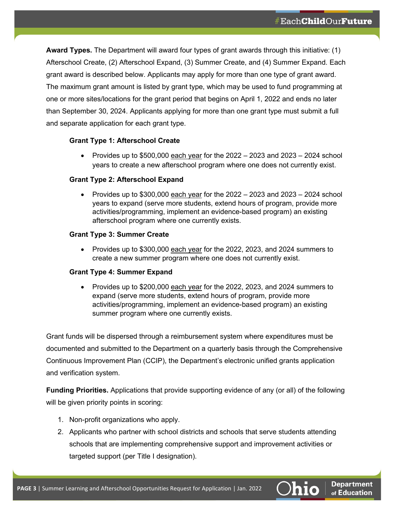**Award Types.** The Department will award four types of grant awards through this initiative: (1) Afterschool Create, (2) Afterschool Expand, (3) Summer Create, and (4) Summer Expand. Each grant award is described below. Applicants may apply for more than one type of grant award. The maximum grant amount is listed by grant type, which may be used to fund programming at one or more sites/locations for the grant period that begins on April 1, 2022 and ends no later than September 30, 2024. Applicants applying for more than one grant type must submit a full and separate application for each grant type.

# **Grant Type 1: Afterschool Create**

• Provides up to  $$500,000$  each year for the  $2022 - 2023$  and  $2023 - 2024$  school years to create a new afterschool program where one does not currently exist.

# **Grant Type 2: Afterschool Expand**

• Provides up to  $$300,000$  each year for the  $2022 - 2023$  and  $2023 - 2024$  school years to expand (serve more students, extend hours of program, provide more activities/programming, implement an evidence-based program) an existing afterschool program where one currently exists.

# **Grant Type 3: Summer Create**

• Provides up to \$300,000 each year for the 2022, 2023, and 2024 summers to create a new summer program where one does not currently exist.

### **Grant Type 4: Summer Expand**

• Provides up to \$200,000 each year for the 2022, 2023, and 2024 summers to expand (serve more students, extend hours of program, provide more activities/programming, implement an evidence-based program) an existing summer program where one currently exists.

Grant funds will be dispersed through a reimbursement system where expenditures must be documented and submitted to the Department on a quarterly basis through the Comprehensive Continuous Improvement Plan (CCIP), the Department's electronic unified grants application and verification system.

**Funding Priorities.** Applications that provide supporting evidence of any (or all) of the following will be given priority points in scoring:

- 1. Non-profit organizations who apply.
- 2. Applicants who partner with school districts and schools that serve students attending schools that are implementing comprehensive support and improvement activities or targeted support (per Title I designation).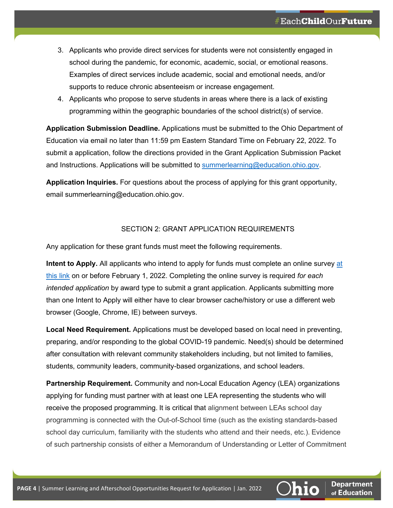- 3. Applicants who provide direct services for students were not consistently engaged in school during the pandemic, for economic, academic, social, or emotional reasons. Examples of direct services include academic, social and emotional needs, and/or supports to reduce chronic absenteeism or increase engagement.
- 4. Applicants who propose to serve students in areas where there is a lack of existing programming within the geographic boundaries of the school district(s) of service.

**Application Submission Deadline.** Applications must be submitted to the Ohio Department of Education via email no later than 11:59 pm Eastern Standard Time on February 22, 2022. To submit a application, follow the directions provided in the Grant Application Submission Packet and Instructions. Applications will be submitted to [summerlearning@education.ohio.gov.](mailto:summerlearning@education.ohio.gov)

**Application Inquiries.** For questions about the process of applying for this grant opportunity, email [summerlearning@education.ohio.gov.](mailto:summerlearning@education.ohio.gov)

# SECTION 2: GRANT APPLICATION REQUIREMENTS

Any application for these grant funds must meet the following requirements.

**Intent to Apply.** All applicants who intend to apply for funds must complete an online survey [at](https://www.surveymonkey.com/r/TX7W77P)  [this link](https://www.surveymonkey.com/r/TX7W77P) on or before February 1, 2022. Completing the online survey is required *for each intended application* by award type to submit a grant application. Applicants submitting more than one Intent to Apply will either have to clear browser cache/history or use a different web browser (Google, Chrome, IE) between surveys.

**Local Need Requirement.** Applications must be developed based on local need in preventing, preparing, and/or responding to the global COVID-19 pandemic. Need(s) should be determined after consultation with relevant community stakeholders including, but not limited to families, students, community leaders, community-based organizations, and school leaders.

**Partnership Requirement.** Community and non-Local Education Agency (LEA) organizations applying for funding must partner with at least one LEA representing the students who will receive the proposed programming. It is critical that alignment between LEAs school day programming is connected with the Out-of-School time (such as the existing standards-based school day curriculum, familiarity with the students who attend and their needs, etc.). Evidence of such partnership consists of either a Memorandum of Understanding or Letter of Commitment

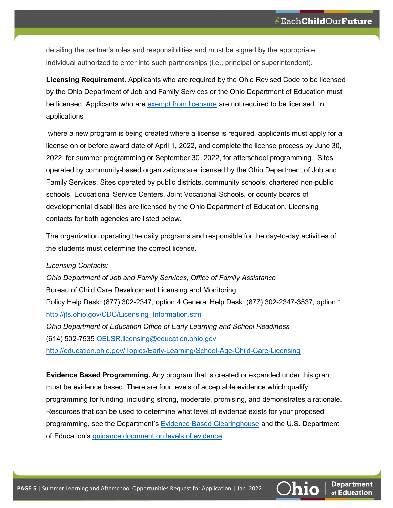detailing the partner's roles and responsibilities and must be signed by the appropriate individual authorized to enter into such partnerships (i.e., principal or superintendent).

**Licensing Requirement.** Applicants who are required by the Ohio Revised Code to be licensed by the Ohio Department of Job and Family Services or the Ohio Department of Education must be licensed. Applicants who are [exempt from licensure](https://codes.ohio.gov/ohio-revised-code/section-5104.02) are not required to be licensed. In applications

where a new program is being created where a license is required, applicants must apply for a license on or before award date of April 1, 2022, and complete the license process by June 30, 2022, for summer programming or September 30, 2022, for afterschool programming. Sites operated by community-based organizations are licensed by the Ohio Department of Job and Family Services. Sites operated by public districts, community schools, chartered non-public schools, Educational Service Centers, Joint Vocational Schools, or county boards of developmental disabilities are licensed by the Ohio Department of Education. Licensing contacts for both agencies are listed below.

The organization operating the daily programs and responsible for the day-to-day activities of the students must determine the correct license.

### *Licensing Contacts:*

*Ohio Department of Job and Family Services, Office of Family Assistance* Bureau of Child Care Development Licensing and Monitoring Policy Help Desk: (877) 302-2347, option 4 General Help Desk: (877) 302-2347-3537, option 1 [http://jfs.ohio.gov/CDC/Licensing\\_Information.stm](http://jfs.ohio.gov/CDC/Licensing_Information.stm) *Ohio Department of Education Office of Early Learning and School Readiness*  (614) 502-7535 [OELSR.licensing@education.ohio.gov](mailto:OELSR.licensing@education.ohio.gov) <http://education.ohio.gov/Topics/Early-Learning/School-Age-Child-Care-Licensing>

**Evidence Based Programming.** Any program that is created or expanded under this grant must be evidence based. There are four levels of acceptable evidence which qualify programming for funding, including strong, moderate, promising, and demonstrates a rationale. Resources that can be used to determine what level of evidence exists for your proposed programming, see the Department's [Evidence Based Clearinghouse](https://essa.chrr.ohio-state.edu/home) and the U.S. Department of Education's [guidance document on levels of evidence.](https://oese.ed.gov/files/2020/02/guidanceuseseinvestment.pdf)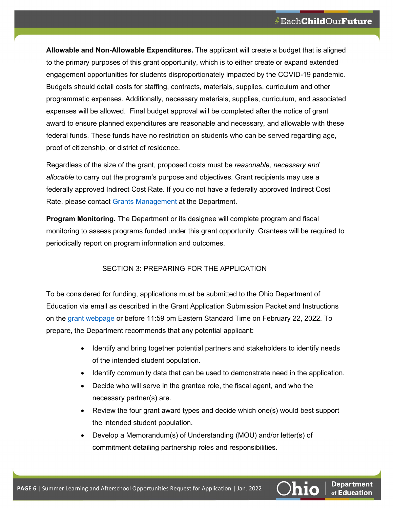**Allowable and Non-Allowable Expenditures.** The applicant will create a budget that is aligned to the primary purposes of this grant opportunity, which is to either create or expand extended engagement opportunities for students disproportionately impacted by the COVID-19 pandemic. Budgets should detail costs for staffing, contracts, materials, supplies, curriculum and other programmatic expenses. Additionally, necessary materials, supplies, curriculum, and associated expenses will be allowed. Final budget approval will be completed after the notice of grant award to ensure planned expenditures are reasonable and necessary, and allowable with these federal funds. These funds have no restriction on students who can be served regarding age, proof of citizenship, or district of residence.

Regardless of the size of the grant, proposed costs must be *reasonable, necessary and allocable* to carry out the program's purpose and objectives. Grant recipients may use a federally approved Indirect Cost Rate. If you do not have a federally approved Indirect Cost Rate, please contact [Grants Management](https://education.ohio.gov/getattachment/Topics/Finance-and-Funding/Grants-Administration/Contact/Grants_Management_Contacts_By_Region.pdf.aspx?lang=en-US) at the Department.

**Program Monitoring.** The Department or its designee will complete program and fiscal monitoring to assess programs funded under this grant opportunity. Grantees will be required to periodically report on program information and outcomes.

# SECTION 3: PREPARING FOR THE APPLICATION

To be considered for funding, applications must be submitted to the Ohio Department of Education via email as described in the Grant Application Submission Packet and Instructions on the grant [webpage](https://education.ohio.gov/Topics/Federal-Programs/Programs/21st-Century/Summer-Learning-and-Afterschool-Opportunities-Gran) or before 11:59 pm Eastern Standard Time on February 22, 2022. To prepare, the Department recommends that any potential applicant:

- Identify and bring together potential partners and stakeholders to identify needs of the intended student population.
- Identify community data that can be used to demonstrate need in the application.
- Decide who will serve in the grantee role, the fiscal agent, and who the necessary partner(s) are.
- Review the four grant award types and decide which one(s) would best support the intended student population.
- Develop a Memorandum(s) of Understanding (MOU) and/or letter(s) of commitment detailing partnership roles and responsibilities.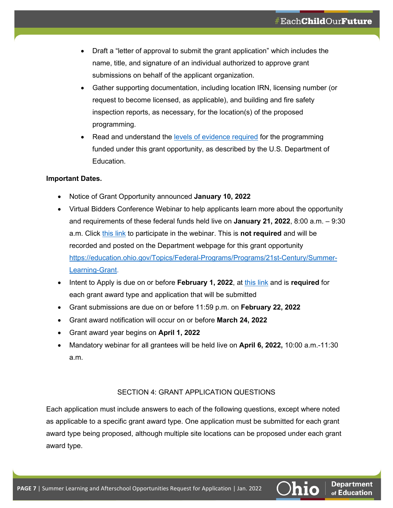- Draft a "letter of approval to submit the grant application" which includes the name, title, and signature of an individual authorized to approve grant submissions on behalf of the applicant organization.
- Gather supporting documentation, including location IRN, licensing number (or request to become licensed, as applicable), and building and fire safety inspection reports, as necessary, for the location(s) of the proposed programming.
- Read and understand the [levels of evidence required](https://oese.ed.gov/files/2020/02/guidanceuseseinvestment.pdf) for the programming funded under this grant opportunity, as described by the U.S. Department of Education.

# **Important Dates.**

- Notice of Grant Opportunity announced **January 10, 2022**
- Virtual Bidders Conference Webinar to help applicants learn more about the opportunity and requirements of these federal funds held live on **January 21, 2022**, 8:00 a.m. – 9:30 a.m. Click [this link](https://teams.microsoft.com/l/meetup-join/19%3ameeting_ZWYyM2QwMjQtZTcyNy00NmE5LTg0OWYtYzBiOWJlNjkxYzIz%40thread.v2/0?context=%7b%22Tid%22%3a%2250f8fcc4-94d8-4f07-84eb-36ed57c7c8a2%22%2c%22Oid%22%3a%2259190ceb-40f9-4dc8-867a-640facf738a7%22%7d) to participate in the webinar. This is **not required** and will be recorded and posted on the Department webpage for this grant opportunity [https://education.ohio.gov/Topics/Federal-Programs/Programs/21st-Century/Summer-](https://education.ohio.gov/Topics/Federal-Programs/Programs/21st-Century/Summer-Learning-Grant)[Learning-Grant.](https://education.ohio.gov/Topics/Federal-Programs/Programs/21st-Century/Summer-Learning-Grant)
- Intent to Apply is due on or before **February 1, 2022**, at [this link](https://www.surveymonkey.com/r/TX7W77P) and is **required** for each grant award type and application that will be submitted
- Grant submissions are due on or before 11:59 p.m. on **February 22, 2022**
- Grant award notification will occur on or before **March 24, 2022**
- Grant award year begins on **April 1, 2022**
- Mandatory webinar for all grantees will be held live on **April 6, 2022,** 10:00 a.m.-11:30 a.m.

# SECTION 4: GRANT APPLICATION QUESTIONS

Each application must include answers to each of the following questions, except where noted as applicable to a specific grant award type. One application must be submitted for each grant award type being proposed, although multiple site locations can be proposed under each grant award type.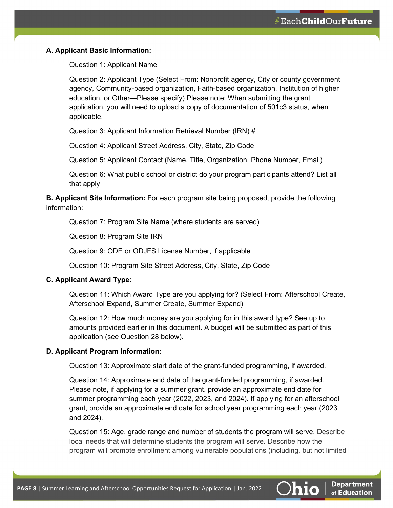### **A. Applicant Basic Information:**

Question 1: Applicant Name

Question 2: Applicant Type (Select From: Nonprofit agency, City or county government agency, Community-based organization, Faith-based organization, Institution of higher education, or Other—Please specify) Please note: When submitting the grant application, you will need to upload a copy of documentation of 501c3 status, when applicable.

Question 3: Applicant Information Retrieval Number (IRN) #

Question 4: Applicant Street Address, City, State, Zip Code

Question 5: Applicant Contact (Name, Title, Organization, Phone Number, Email)

Question 6: What public school or district do your program participants attend? List all that apply

**B. Applicant Site Information:** For each program site being proposed, provide the following information:

Question 7: Program Site Name (where students are served)

Question 8: Program Site IRN

Question 9: ODE or ODJFS License Number, if applicable

Question 10: Program Site Street Address, City, State, Zip Code

#### **C. Applicant Award Type:**

Question 11: Which Award Type are you applying for? (Select From: Afterschool Create, Afterschool Expand, Summer Create, Summer Expand)

Question 12: How much money are you applying for in this award type? See up to amounts provided earlier in this document. A budget will be submitted as part of this application (see Question 28 below).

#### **D. Applicant Program Information:**

Question 13: Approximate start date of the grant-funded programming, if awarded.

Question 14: Approximate end date of the grant-funded programming, if awarded. Please note, if applying for a summer grant, provide an approximate end date for summer programming each year (2022, 2023, and 2024). If applying for an afterschool grant, provide an approximate end date for school year programming each year (2023 and 2024).

Question 15: Age, grade range and number of students the program will serve. Describe local needs that will determine students the program will serve. Describe how the program will promote enrollment among vulnerable populations (including, but not limited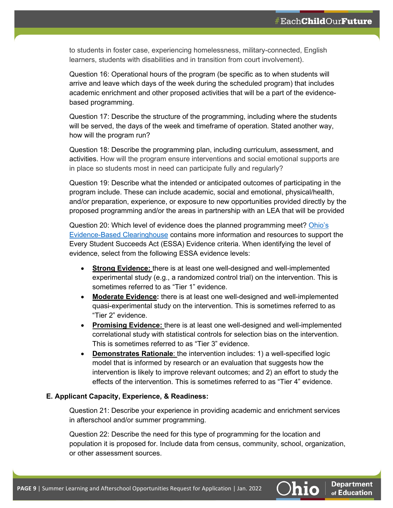to students in foster case, experiencing homelessness, military-connected, English learners, students with disabilities and in transition from court involvement).

Question 16: Operational hours of the program (be specific as to when students will arrive and leave which days of the week during the scheduled program) that includes academic enrichment and other proposed activities that will be a part of the evidencebased programming.

Question 17: Describe the structure of the programming, including where the students will be served, the days of the week and timeframe of operation. Stated another way, how will the program run?

Question 18: Describe the programming plan, including curriculum, assessment, and activities. How will the program ensure interventions and social emotional supports are in place so students most in need can participate fully and regularly?

Question 19: Describe what the intended or anticipated outcomes of participating in the program include. These can include academic, social and emotional, physical/health, and/or preparation, experience, or exposure to new opportunities provided directly by the proposed programming and/or the areas in partnership with an LEA that will be provided

Question 20: Which level of evidence does the planned programming meet? [Ohio's](https://essa.chrr.ohio-state.edu/home)  [Evidence-Based Clearinghouse](https://essa.chrr.ohio-state.edu/home) contains more information and resources to support the Every Student Succeeds Act (ESSA) Evidence criteria. When identifying the level of evidence, select from the following ESSA evidence levels:

- **Strong Evidence:** there is at least one well-designed and well-implemented experimental study (e.g., a randomized control trial) on the intervention. This is sometimes referred to as "Tier 1" evidence.
- **Moderate Evidence:** there is at least one well-designed and well-implemented quasi-experimental study on the intervention. This is sometimes referred to as "Tier 2" evidence.
- **Promising Evidence:** there is at least one well-designed and well-implemented correlational study with statistical controls for selection bias on the intervention. This is sometimes referred to as "Tier 3" evidence.
- **Demonstrates Rationale:** the intervention includes: 1) a well-specified logic model that is informed by research or an evaluation that suggests how the intervention is likely to improve relevant outcomes; and 2) an effort to study the effects of the intervention. This is sometimes referred to as "Tier 4" evidence.

### **E. Applicant Capacity, Experience, & Readiness:**

Question 21: Describe your experience in providing academic and enrichment services in afterschool and/or summer programming.

Question 22: Describe the need for this type of programming for the location and population it is proposed for. Include data from census, community, school, organization, or other assessment sources.